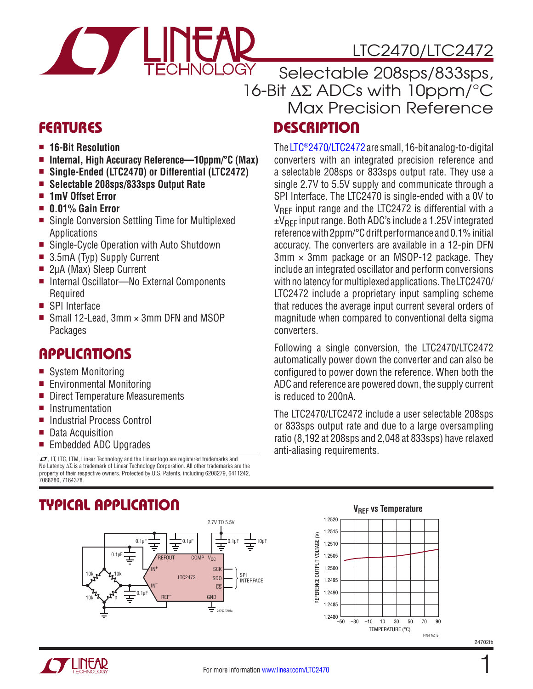

# LTC2470/LTC2472

**DESCRIPTION** Selectable 208sps/833sps, 16-Bit ΔΣ ADCs with 10ppm/°C Max Precision Reference

> The [LTC®2470/](http://www.linear.com/product/LTC2470)[LTC2472](http://www.linear.com/product/LTC2472) are small, 16-bit analog-to-digital converters with an integrated precision reference and a selectable 208sps or 833sps output rate. They use a single 2.7V to 5.5V supply and communicate through a SPI Interface. The LTC2470 is single-ended with a 0V to  $V_{\text{RFF}}$  input range and the LTC2472 is differential with a  $\pm V_{\text{RFF}}$  input range. Both ADC's include a 1.25V integrated reference with 2ppm/°C drift performance and 0.1% initial accuracy. The converters are available in a 12-pin DFN  $3mm \times 3mm$  package or an MSOP-12 package. They include an integrated oscillator and perform conversions with no latency for multiplexed applications. The LTC2470/ LTC2472 include a proprietary input sampling scheme that reduces the average input current several orders of magnitude when compared to conventional delta sigma

## Features

- <sup>n</sup> **16-Bit Resolution**
- Internal, High Accuracy Reference—10ppm/°C (Max)
- Single-Ended (LTC2470) or Differential (LTC2472)
- <sup>n</sup> **Selectable 208sps/833sps Output Rate**
- **n** 1mV Offset Error
- <sup>n</sup> **0.01% Gain Error**
- Single Conversion Settling Time for Multiplexed Applications
- Single-Cycle Operation with Auto Shutdown
- $\blacksquare$  3.5mA (Typ) Supply Current
- 2µA (Max) Sleep Current
- Internal Oscillator—No External Components Required
- SPI Interface
- Small 12-Lead,  $3 \text{mm} \times 3 \text{mm}$  DFN and MSOP Packages

## Applications

- System Monitoring
- $\blacksquare$  Environmental Monitoring
- Direct Temperature Measurements
- $\blacksquare$  Instrumentation
- Industrial Process Control
- Data Acquisition
- Embedded ADC Upgrades

 $\mathcal{I}$ , LT, LTC, LTM, Linear Technology and the Linear logo are registered trademarks and No Latency ∆∑ is a trademark of Linear Technology Corporation. All other trademarks are the property of their respective owners. Protected by U.S. Patents, including 6208279, 6411242, 7088280, 7164378.

# Typical Application



## **V<sub>REF</sub>** vs Temperature

Following a single conversion, the LTC2470/LTC2472 automatically power down the converter and can also be configured to power down the reference. When both the ADC and reference are powered down, the supply current

The LTC2470/LTC2472 include a user selectable 208sps or 833sps output rate and due to a large oversampling ratio (8,192 at 208sps and 2,048 at 833sps) have relaxed

> 1.2520 1.2515 REFERENCE OUTPUT VOLTAGE (V) REFERENCE OUTPUT VOLTAGE (V) 1.2510 1.2505 1.2500 1.2495 1.2490 1.2485  $1.2480$   $-50$ –50 –10 10 –30 30 50 70 90 TEMPERATURE (°C) 24702 TA01b

converters.

is reduced to 200nA.

anti-aliasing requirements.



1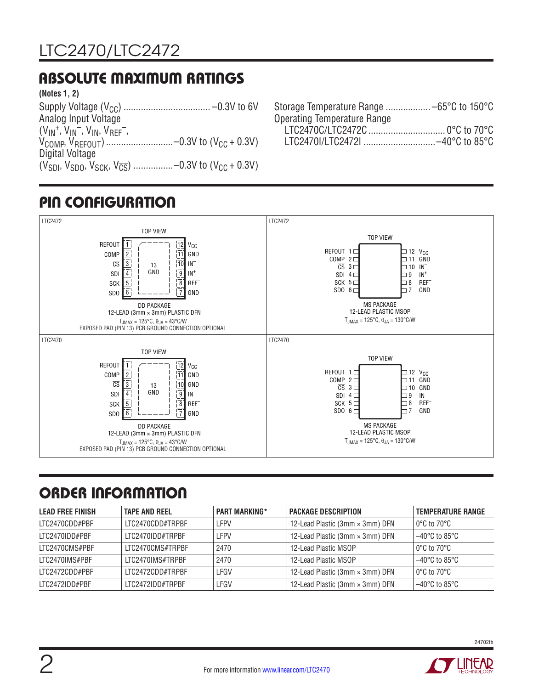## Absolute Maximum Ratings

| (Notes 1, 2)                                                                |
|-----------------------------------------------------------------------------|
|                                                                             |
| Analog Input Voltage                                                        |
| $(V_{IN}^+, V_{IN}^-, V_{IN}, V_{RFF}^-,$                                   |
|                                                                             |
| Digital Voltage                                                             |
| $(V_{SDI}, V_{SDO}, V_{SCK}, V_{\overline{CS}})$ -0.3V to $(V_{CC} + 0.3V)$ |
|                                                                             |

| <b>Operating Temperature Range</b> |  |
|------------------------------------|--|
|                                    |  |
|                                    |  |

## Pin Configuration



# Order Information

| <b>LEAD FREE FINISH</b> | <b>TAPE AND REEL</b> | PART MARKING* | <b>PACKAGE DESCRIPTION</b>      | <b>TEMPERATURE RANGE</b>           |
|-------------------------|----------------------|---------------|---------------------------------|------------------------------------|
| LTC2470CDD#PBF          | ITC2470CDD#TRPBF     | I FPV         | 12-Lead Plastic (3mm × 3mm) DFN | l 0°C to 70°C                      |
| ITC2470IDD#PBF          | LTC2470IDD#TRPBF     | <b>LFPV</b>   | 12-Lead Plastic (3mm × 3mm) DFN | $-40^{\circ}$ C to 85 $^{\circ}$ C |
| ITC2470CMS#PBF          | ITC2470CMS#TRPBF     | 2470          | 12-Lead Plastic MSOP            |                                    |
| ITC2470IMS#PBF          | LTC2470IMS#TRPBF     | 2470          | 12-Lead Plastic MSOP            | $-40^{\circ}$ C to 85 $^{\circ}$ C |
| LTC2472CDD#PBF          | ITC2472CDD#TRPBF     | LFGV          | 12-Lead Plastic (3mm × 3mm) DFN | l 0°C to 70°C                      |
| ITC2472IDD#PBF          | ITC2472IDD#TRPBF     | LFGV          | 12-Lead Plastic (3mm × 3mm) DFN | $-40^{\circ}$ C to 85 $^{\circ}$ C |

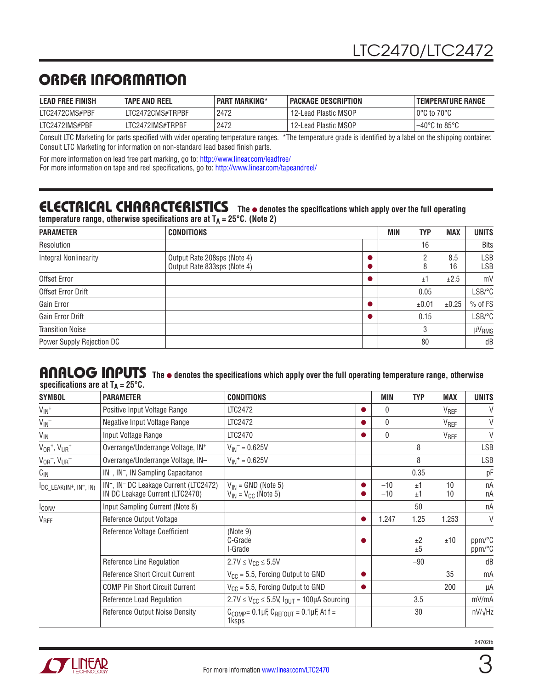## order information

| <b>LEAD FREE FINISH</b> | <b>TAPE AND REEL</b> | <b>PART MARKING*</b> | PACKAGE DESCRIPTION  | I TEMPERATURE RANGE                |
|-------------------------|----------------------|----------------------|----------------------|------------------------------------|
| LTC2472CMS#PBF          | LTC2472CMS#TRPBF     | 2472                 | 12-Lead Plastic MSOP | $0^{\circ}$ C to 70 $^{\circ}$ C   |
| LTC2472IMS#PBF          | LTC2472IMS#TRPBF     | 2472                 | 12-Lead Plastic MSOP | $-40^{\circ}$ C to 85 $^{\circ}$ C |

Consult LTC Marketing for parts specified with wider operating temperature ranges. \*The temperature grade is identified by a label on the shipping container. Consult LTC Marketing for information on non-standard lead based finish parts.

For more information on lead free part marking, go to: http://www.linear.com/leadfree/

For more information on tape and reel specifications, go to: http://www.linear.com/tapeandreel/

### **ELECTRICAL CHARACTERISTICS** The  $\bullet$  denotes the specifications which apply over the full operating temperature range, otherwise specifications are at T<sub>A</sub> = 25°C. (Note 2)

| <b>PARAMETER</b>             | <b>CONDITIONS</b>                                          | <b>MIN</b> | <b>TYP</b> | <b>MAX</b> | <b>UNITS</b>            |
|------------------------------|------------------------------------------------------------|------------|------------|------------|-------------------------|
| Resolution                   |                                                            |            | 16         |            | Bits                    |
| <b>Integral Nonlinearity</b> | Output Rate 208sps (Note 4)<br>Output Rate 833sps (Note 4) |            |            | 8.5<br>16  | LSB<br><b>LSB</b>       |
| Offset Error                 |                                                            |            | ±1         | ±2.5       | mV                      |
| Offset Error Drift           |                                                            |            | 0.05       |            | LSB/°C                  |
| Gain Error                   |                                                            |            | ±0.01      | ±0.25      | % of FS                 |
| Gain Error Drift             |                                                            |            | 0.15       |            | LSB/°C                  |
| <b>Transition Noise</b>      |                                                            |            |            |            | <b>µV<sub>RMS</sub></b> |
| Power Supply Rejection DC    |                                                            |            | 80         |            | dB                      |

#### ANALOG INPUTS The  $\bullet$  denotes the specifications which apply over the full operating temperature range, otherwise specifications are at  $T_A = 25^{\circ}C$ .

| <b>SYMBOL</b>                                                | <b>PARAMETER</b>                                                                                  | <b>CONDITIONS</b>                                                   |           | MIN            | <b>TYP</b> | <b>MAX</b>       | <b>UNITS</b>     |
|--------------------------------------------------------------|---------------------------------------------------------------------------------------------------|---------------------------------------------------------------------|-----------|----------------|------------|------------------|------------------|
| $V_{IN}$ +                                                   | Positive Input Voltage Range                                                                      | LTC2472                                                             | $\bullet$ | 0              |            | V <sub>REF</sub> | V                |
| $V_{IN}^-$                                                   | Negative Input Voltage Range                                                                      | LTC2472                                                             |           | 0              |            | VREF             | V                |
| $V_{\text{IN}}$                                              | Input Voltage Range                                                                               | LTC2470                                                             |           | 0              |            | V <sub>REF</sub> | V                |
| $V_{OR}$ <sup>+</sup> , $V_{UR}$ <sup>+</sup>                | Overrange/Underrange Voltage, IN <sup>+</sup>                                                     | $V_{IN}$ <sup>-</sup> = 0.625V                                      |           |                | 8          |                  | <b>LSB</b>       |
| $V_{OR}^-$ , $V_{UR}^-$                                      | Overrange/Underrange Voltage, IN-                                                                 | $V_{IN}$ = 0.625V                                                   |           |                | 8          |                  | LSB              |
| $C_{IN}$                                                     | IN <sup>+</sup> , IN <sup>-</sup> , IN Sampling Capacitance                                       |                                                                     |           |                | 0.35       |                  | pF               |
| $\overline{D}C$ LEAK(IN <sup>+</sup> , IN <sup>-</sup> , IN) | IN <sup>+</sup> , IN <sup>-</sup> DC Leakage Current (LTC2472)<br>IN DC Leakage Current (LTC2470) | $V_{IN}$ = GND (Note 5)<br>$V_{IN}$ = $V_{CC}$ (Note 5)             |           | $-10$<br>$-10$ | ±1<br>±1   | 10<br>10         | nA<br>nA         |
| <b>I</b> conv                                                | Input Sampling Current (Note 8)                                                                   |                                                                     |           |                | 50         |                  | nA               |
| V <sub>REF</sub>                                             | Reference Output Voltage                                                                          |                                                                     | ●         | 1.247          | 1.25       | 1.253            | V                |
|                                                              | Reference Voltage Coefficient                                                                     | (Note 9)<br>C-Grade<br>I-Grade                                      |           |                | ±2<br>±5   | ±10              | ppm/°C<br>ppm/°C |
|                                                              | Reference Line Regulation                                                                         | $2.7V \le V_{CC} \le 5.5V$                                          |           |                | $-90$      |                  | dB               |
|                                                              | Reference Short Circuit Current                                                                   | $V_{CC}$ = 5.5, Forcing Output to GND                               |           |                |            | 35               | mA               |
|                                                              | <b>COMP Pin Short Circuit Current</b>                                                             | $V_{CC}$ = 5.5, Forcing Output to GND                               |           |                |            | 200              | μA               |
|                                                              | Reference Load Regulation                                                                         | $2.7V \leq V_{CC} \leq 5.5V$ , $I_{OUT} = 100\mu A$ Sourcing        |           |                | 3.5        |                  | mV/mA            |
|                                                              | <b>Reference Output Noise Density</b>                                                             | $C_{COMP} = 0.1 \mu F$ , $C_{REFOUT} = 0.1 \mu F$ , At f =<br>1ksps |           |                | 30         |                  | $nV/\sqrt{Hz}$   |



24702ft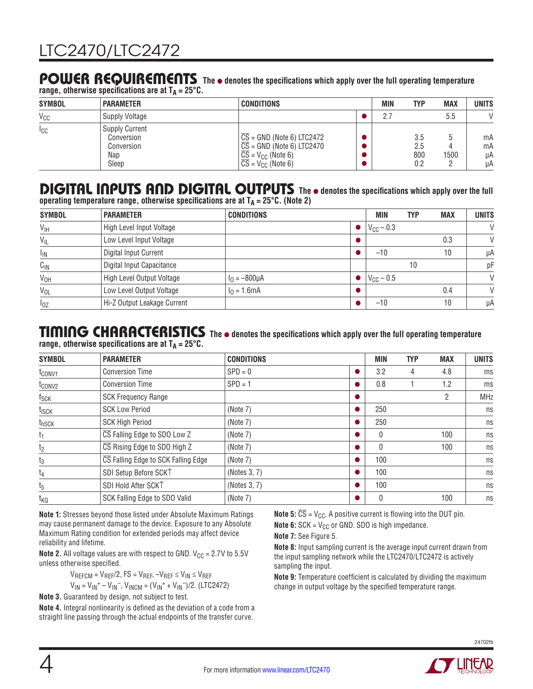#### **The** l **denotes the specifications which apply over the full operating temperature**  Power Requirements

| range, otherwise specifications are at $T_A = 25^{\circ}$ C. |                  |                   |  |  |
|--------------------------------------------------------------|------------------|-------------------|--|--|
| <b>SYMBOL</b>                                                | <b>PARAMETER</b> | <b>CONDITIONS</b> |  |  |

| <b>SYMBOL</b>  | <b>PARAMETER</b>                                                  | <b>CONDITIONS</b>                                                                                                                                                        | MIN | <b>TYP</b>               | <b>MAX</b> | <b>UNITS</b>         |
|----------------|-------------------------------------------------------------------|--------------------------------------------------------------------------------------------------------------------------------------------------------------------------|-----|--------------------------|------------|----------------------|
| $V_{CC}$       | <b>Supply Voltage</b>                                             |                                                                                                                                                                          |     |                          | 5.5        | V                    |
| <sub>ICC</sub> | <b>Supply Current</b><br>Conversion<br>Conversion<br>Nap<br>Sleep | $\overline{\text{CS}}$ = GND (Note 6) LTC2472<br>$\sqrt{CS}$ = GND (Note 6) LTC2470<br>$\overline{CS}$ = V <sub>CC</sub> (Note 6)<br>$\overline{CS}$ = $V_{CC}$ (Note 6) |     | 3.5<br>2.5<br>800<br>0.2 | 1500       | mA<br>mA<br>иA<br>uА |

#### **The** l **denotes the specifications which apply over the full operating temperature range, otherwise specifications are at TA = 25°C. (Note 2)** Digital Inputs and Digital Outputs

| <b>SYMBOL</b>   | <b>PARAMETER</b>            | <b>CONDITIONS</b>  | <b>MIN</b>           | <b>TYP</b> | <b>MAX</b> | <b>UNITS</b> |
|-----------------|-----------------------------|--------------------|----------------------|------------|------------|--------------|
| $V_{\text{IH}}$ | High Level Input Voltage    |                    | $V_{CC}$ – 0.3       |            |            | $\vee$       |
| $V_{IL}$        | Low Level Input Voltage     |                    |                      |            | 0.3        | V            |
| <sup>I</sup> IN | Digital Input Current       |                    | $-10$                |            | 10         | μA           |
| $C_{\text{IN}}$ | Digital Input Capacitance   |                    |                      | 10         |            | рF           |
| V <sub>OH</sub> | High Level Output Voltage   | $I_0 = -800 \mu A$ | $V_{\rm CC}$ $-$ 0.5 |            |            | V            |
| $V_{OL}$        | Low Level Output Voltage    | $I_0 = 1.6mA$      |                      |            | 0.4        | $\mathsf{V}$ |
| $I_{0Z}$        | Hi-Z Output Leakage Current |                    | $-10$                |            | 10         | μA           |

### TIMING CHARACTERISTICS The  $\bullet$  denotes the specifications which apply over the full operating temperature range, otherwise specifications are at  $T_A = 25^{\circ}C$ .

| <b>SYMBOL</b>      | <b>PARAMETER</b>                    | <b>CONDITIONS</b> |   | <b>MIN</b> | <b>TYP</b> | <b>MAX</b> | <b>UNITS</b> |
|--------------------|-------------------------------------|-------------------|---|------------|------------|------------|--------------|
| t <sub>CONV1</sub> | <b>Conversion Time</b>              | $SPD = 0$         |   | 3.2        | 4          | 4.8        | ms           |
| t <sub>CONV2</sub> | <b>Conversion Time</b>              | $SPD = 1$         |   | 0.8        |            | 1.2        | ms           |
| $f_{\mathsf{SCK}}$ | <b>SCK Frequency Range</b>          |                   | ● |            |            | 2          | <b>MHz</b>   |
| t <sub>ISCK</sub>  | <b>SCK Low Period</b>               | (Note 7)          |   | 250        |            |            | ns           |
| thSCK              | <b>SCK High Period</b>              | (Note 7)          |   | 250        |            |            | ns           |
| t <sub>1</sub>     | CS Falling Edge to SDO Low Z        | (Note 7)          |   | 0          |            | 100        | ns           |
| t <sub>2</sub>     | CS Rising Edge to SDO High Z        | (Note 7)          |   | 0          |            | 100        | ns           |
| $t_3$              | CS Falling Edge to SCK Falling Edge | (Note 7)          |   | 100        |            |            | ns           |
| $t_4$              | SDI Setup Before SCK <sup>T</sup>   | (Notes 3, 7)      |   | 100        |            |            | ns           |
| $t_5$              | SDI Hold After SCKT                 | (Notes 3, 7)      |   | 100        |            |            | ns           |
| t <sub>KQ</sub>    | SCK Falling Edge to SDO Valid       | (Note 7)          | 0 | 0          |            | 100        | ns           |

**Note 1:** Stresses beyond those listed under Absolute Maximum Ratings may cause permanent damage to the device. Exposure to any Absolute Maximum Rating condition for extended periods may affect device reliability and lifetime.

**Note 2.** All voltage values are with respect to GND.  $V_{CC} = 2.7V$  to 5.5V unless otherwise specified.

 $V_{REFCM} = V_{REF}/2$ ,  $FS = V_{REF}$ ,  $-V_{REF} \leq V_{IN} \leq V_{REF}$ 

$$
V_{IN} = V_{IN}^+ - V_{IN}^-, V_{INCM} = (V_{IN}^+ + V_{IN}^-)/2.
$$
 (LTC2472)  
**Note 3.** Guaranteed by design, not subject to test.

**Note 4.** Integral nonlinearity is defined as the deviation of a code from a straight line passing through the actual endpoints of the transfer curve.

**Note 5:**  $\overline{CS}$  = V<sub>CC</sub>. A positive current is flowing into the DUT pin. **Note 6:**  $SCK = V_{CC}$  or GND. SDO is high impedance.

**Note 7:** See Figure 5.

**Note 8:** Input sampling current is the average input current drawn from the input sampling network while the LTC2470/LTC2472 is actively sampling the input.

**Note 9:** Temperature coefficient is calculated by dividing the maximum change in output voltage by the specified temperature range.

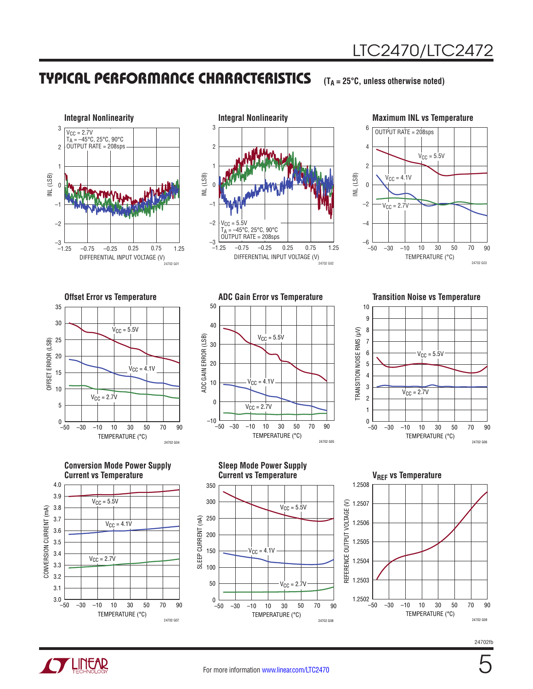## Typical Performance Characteristics

**(TA = 25°C, unless otherwise noted)**









**Conversion Mode Power Supply Current vs Temperature**



50 40 ADC GAIN ERROR (LSB)  $V_{CC} = 5.5V$ ADC GAIN ERROR (LSB) 30 20  $V_{CC} = 4.1V$ 10 0  $V_{CC} = 2.7V$ –10 –50 –30 10–10 30 50 70 90 TEMPERATURE (°C) 24702 G05

**Offset Error vs Temperature ADC Gain Error vs Temperature Transition Noise vs Temperature**







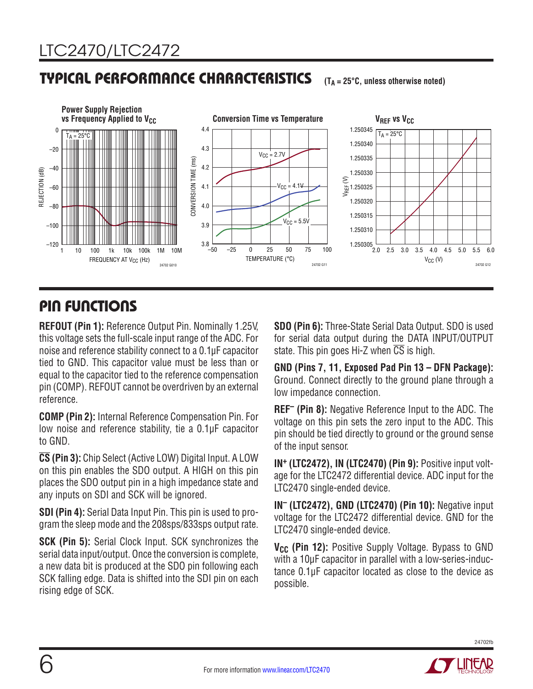## **TYPICAL PERFORMANCE CHARACTERISTICS** (TA = 25°C, unless otherwise noted)



# Pin Functions

**REFOUT (Pin 1):** Reference Output Pin. Nominally 1.25V, this voltage sets the full-scale input range of the ADC. For noise and reference stability connect to a 0.1µF capacitor tied to GND. This capacitor value must be less than or equal to the capacitor tied to the reference compensation pin (COMP). REFOUT cannot be overdriven by an external reference.

**COMP (Pin 2):** Internal Reference Compensation Pin. For low noise and reference stability, tie a 0.1μF capacitor to GND.

**CS (Pin 3):** Chip Select (Active LOW) Digital Input. A LOW on this pin enables the SDO output. A HIGH on this pin places the SDO output pin in a high impedance state and any inputs on SDI and SCK will be ignored.

**SDI (Pin 4):** Serial Data Input Pin. This pin is used to program the sleep mode and the 208sps/833sps output rate.

**SCK (Pin 5):** Serial Clock Input. SCK synchronizes the serial data input/output. Once the conversion is complete, a new data bit is produced at the SDO pin following each SCK falling edge. Data is shifted into the SDI pin on each rising edge of SCK.

**SDO (Pin 6):** Three-State Serial Data Output. SDO is used for serial data output during the DATA INPUT/OUTPUT state. This pin goes Hi-Z when  $\overline{CS}$  is high.

**GND (Pins 7, 11, Exposed Pad Pin 13 – DFN Package):** Ground. Connect directly to the ground plane through a low impedance connection.

**REF– (Pin 8):** Negative Reference Input to the ADC. The voltage on this pin sets the zero input to the ADC. This pin should be tied directly to ground or the ground sense of the input sensor.

**IN+ (LTC2472), IN (LTC2470) (Pin 9):** Positive input voltage for the LTC2472 differential device. ADC input for the LTC2470 single-ended device.

**IN– (LTC2472), GND (LTC2470) (Pin 10):** Negative input voltage for the LTC2472 differential device. GND for the LTC2470 single-ended device.

**V<sub>CC</sub>** (Pin 12): Positive Supply Voltage. Bypass to GND with a 10μF capacitor in parallel with a low-series-inductance 0.1μF capacitor located as close to the device as possible.

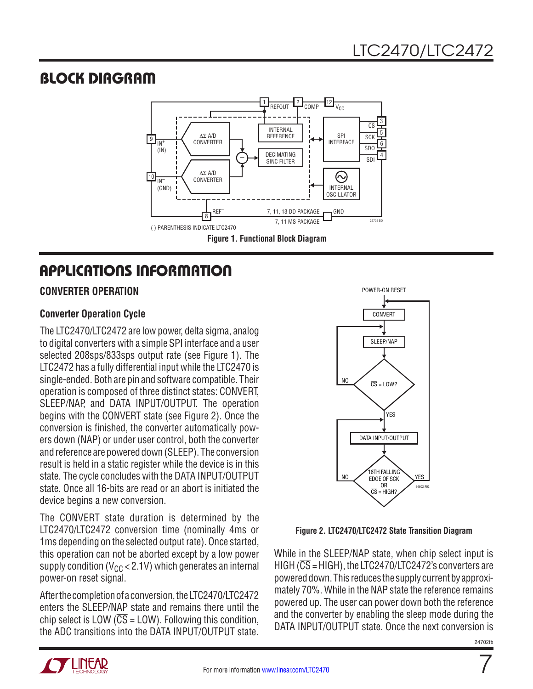## Block Diagram



# Applications Information

### **Converter Operation**

### **Converter Operation Cycle**

The LTC2470/LTC2472 are low power, delta sigma, analog to digital converters with a simple SPI interface and a user selected 208sps/833sps output rate (see Figure 1). The LTC2472 has a fully differential input while the LTC2470 is single-ended. Both are pin and software compatible. Their operation is composed of three distinct states: CONVERT, SLEEP/NAP, and DATA INPUT/OUTPUT. The operation begins with the CONVERT state (see Figure 2). Once the conversion is finished, the converter automatically powers down (NAP) or under user control, both the converter and reference are powered down (SLEEP). The conversion result is held in a static register while the device is in this state. The cycle concludes with the DATA INPUT/OUTPUT state. Once all 16-bits are read or an abort is initiated the device begins a new conversion.

The CONVERT state duration is determined by the LTC2470/LTC2472 conversion time (nominally 4ms or 1ms depending on the selected output rate). Once started, this operation can not be aborted except by a low power supply condition ( $V_{CC}$  < 2.1V) which generates an internal power-on reset signal.

After the completion of a conversion, the LTC2470/LTC2472 enters the SLEEP/NAP state and remains there until the chip select is LOW ( $\overline{CS}$  = LOW). Following this condition, the ADC transitions into the DATA INPUT/OUTPUT state.



**Figure 2. LTC2470/LTC2472 State Transition Diagram**

While in the SLEEP/NAP state, when chip select input is HIGH ( $\overline{\text{CS}}$  = HIGH), the LTC2470/LTC2472's converters are powered down. This reduces the supply current by approximately 70%. While in the NAP state the reference remains powered up. The user can power down both the reference and the converter by enabling the sleep mode during the DATA INPUT/OUTPUT state. Once the next conversion is

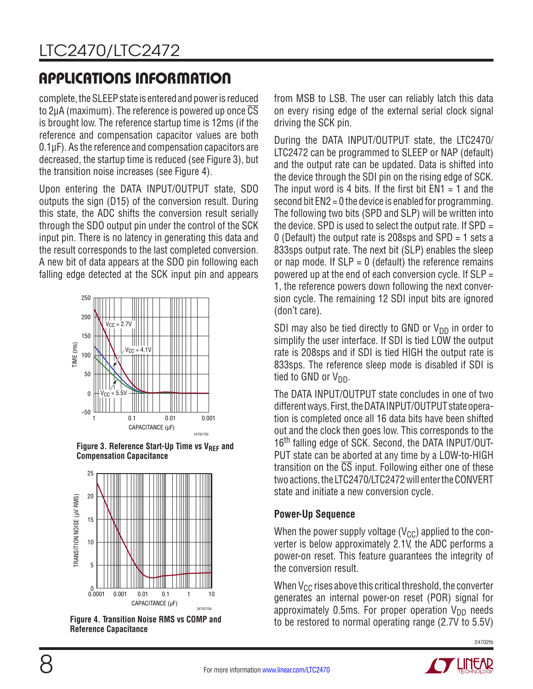complete, the SLEEP state is entered and power is reduced to 2µA (maximum). The reference is powered up once  $\overline{\text{CS}}$ is brought low. The reference startup time is 12ms (if the reference and compensation capacitor values are both 0.1μF). As the reference and compensation capacitors are decreased, the startup time is reduced (see Figure 3), but the transition noise increases (see Figure 4).

Upon entering the DATA INPUT/OUTPUT state, SDO outputs the sign (D15) of the conversion result. During this state, the ADC shifts the conversion result serially through the SDO output pin under the control of the SCK input pin. There is no latency in generating this data and the result corresponds to the last completed conversion. A new bit of data appears at the SDO pin following each falling edge detected at the SCK input pin and appears



Figure 3. Reference Start-Up Time vs V<sub>REF</sub> and **Compensation Capacitance**



**Reference Capacitance**

from MSB to LSB. The user can reliably latch this data on every rising edge of the external serial clock signal driving the SCK pin.

During the DATA INPUT/OUTPUT state, the LTC2470/ LTC2472 can be programmed to SLEEP or NAP (default) and the output rate can be updated. Data is shifted into the device through the SDI pin on the rising edge of SCK. The input word is 4 bits. If the first bit  $EN1 = 1$  and the second bit EN2 = 0 the device is enabled for programming. The following two bits (SPD and SLP) will be written into the device. SPD is used to select the output rate. If SPD  $=$ 0 (Default) the output rate is 208sps and SPD = 1 sets a 833sps output rate. The next bit (SLP) enables the sleep or nap mode. If  $SLP = 0$  (default) the reference remains powered up at the end of each conversion cycle. If SLP = 1, the reference powers down following the next conversion cycle. The remaining 12 SDI input bits are ignored (don't care).

SDI may also be tied directly to GND or  $V_{DD}$  in order to simplify the user interface. If SDI is tied LOW the output rate is 208sps and if SDI is tied HIGH the output rate is 833sps. The reference sleep mode is disabled if SDI is tied to GND or  $V_{DD}$ .

The DATA INPUT/OUTPUT state concludes in one of two different ways. First, the DATA INPUT/OUTPUT state operation is completed once all 16 data bits have been shifted out and the clock then goes low. This corresponds to the 16<sup>th</sup> falling edge of SCK. Second, the DATA INPUT/OUT-PUT state can be aborted at any time by a LOW-to-HIGH transition on the  $\overline{CS}$  input. Following either one of these two actions, the LTC2470/LTC2472 will enter the CONVERT state and initiate a new conversion cycle.

### **Power-Up Sequence**

When the power supply voltage  $(V_{CC})$  applied to the converter is below approximately 2.1V, the ADC performs a power-on reset. This feature guarantees the integrity of the conversion result.

When  $V_{CC}$  rises above this critical threshold, the converter generates an internal power-on reset (POR) signal for approximately 0.5ms. For proper operation  $V_{DD}$  needs to be restored to normal operating range (2.7V to 5.5V) **Figure 4. Transition Noise RMS vs COMP and** 



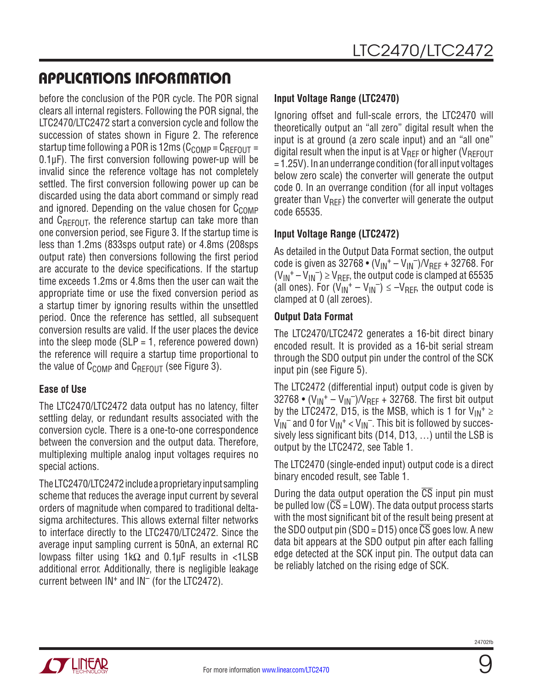before the conclusion of the POR cycle. The POR signal clears all internal registers. Following the POR signal, the LTC2470/LTC2472 start a conversion cycle and follow the succession of states shown in Figure 2. The reference startup time following a POR is 12ms ( $C_{COMP} = C_{REFOUT} =$ 0.1μF). The first conversion following power-up will be invalid since the reference voltage has not completely settled. The first conversion following power up can be discarded using the data abort command or simply read and ignored. Depending on the value chosen for  $C_{\text{COMP}}$ and  $C_{\text{RFFOLIT}}$ , the reference startup can take more than one conversion period, see Figure 3. If the startup time is less than 1.2ms (833sps output rate) or 4.8ms (208sps output rate) then conversions following the first period are accurate to the device specifications. If the startup time exceeds 1.2ms or 4.8ms then the user can wait the appropriate time or use the fixed conversion period as a startup timer by ignoring results within the unsettled period. Once the reference has settled, all subsequent conversion results are valid. If the user places the device into the sleep mode  $(SLP = 1,$  reference powered down) the reference will require a startup time proportional to the value of  $C_{\text{COMP}}$  and  $C_{\text{REFOUT}}$  (see Figure 3).

### **Ease of Use**

The LTC2470/LTC2472 data output has no latency, filter settling delay, or redundant results associated with the conversion cycle. There is a one-to-one correspondence between the conversion and the output data. Therefore, multiplexing multiple analog input voltages requires no special actions.

The LTC2470/LTC2472 include a proprietary input sampling scheme that reduces the average input current by several orders of magnitude when compared to traditional deltasigma architectures. This allows external filter networks to interface directly to the LTC2470/LTC2472. Since the average input sampling current is 50nA, an external RC lowpass filter using 1kΩ and 0.1µF results in <1LSB additional error. Additionally, there is negligible leakage current between  $IN<sup>+</sup>$  and  $IN<sup>-</sup>$  (for the LTC2472).

### **Input Voltage Range (LTC2470)**

Ignoring offset and full-scale errors, the LTC2470 will theoretically output an "all zero" digital result when the input is at ground (a zero scale input) and an "all one" digital result when the input is at  $V_{RFF}$  or higher ( $V_{RFFOUT}$ = 1.25V). In an underrange condition (for all input voltages below zero scale) the converter will generate the output code 0. In an overrange condition (for all input voltages greater than  $V_{\text{RFF}}$ ) the converter will generate the output code 65535.

### **Input Voltage Range (LTC2472)**

As detailed in the Output Data Format section, the output code is given as  $32768 \cdot (V_{IN}^{+} - V_{IN}^{-})/V_{REF} + 32768$ . For  $(V_{IN}^+ - V_{IN}^-) \geq V_{REF}$ , the output code is clamped at 65535 (all ones). For  $(V_{IN}^+ - V_{IN}^-) \le -V_{RFE}$ , the output code is clamped at 0 (all zeroes).

### **Output Data Format**

The LTC2470/LTC2472 generates a 16-bit direct binary encoded result. It is provided as a 16-bit serial stream through the SDO output pin under the control of the SCK input pin (see Figure 5).

The LTC2472 (differential input) output code is given by 32768 •  $(V_{1N}^{+} - V_{1N}^{-})/V_{REF}$  + 32768. The first bit output by the LTC2472, D15, is the MSB, which is 1 for  $V_{IN}^+ \geq$  $V_{IN}$ <sup>-</sup> and 0 for  $V_{IN}$ <sup>+</sup> <  $V_{IN}$ <sup>-</sup>. This bit is followed by successively less significant bits (D14, D13, …) until the LSB is output by the LTC2472, see Table 1.

The LTC2470 (single-ended input) output code is a direct binary encoded result, see Table 1.

During the data output operation the  $\overline{CS}$  input pin must be pulled low  $(\overline{CS} = LOW)$ . The data output process starts with the most significant bit of the result being present at the SDO output pin  $(SDO = D15)$  once  $\overline{CS}$  goes low. A new data bit appears at the SDO output pin after each falling edge detected at the SCK input pin. The output data can be reliably latched on the rising edge of SCK.

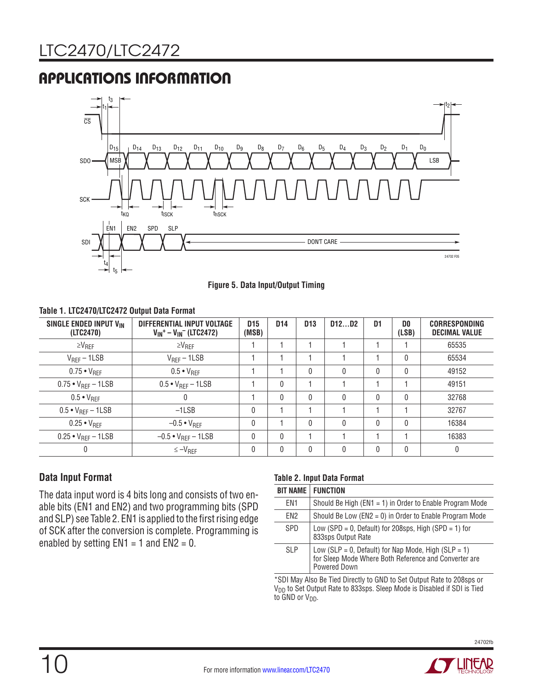

**Figure 5. Data Input/Output Timing**

#### **Table 1. LTC2470/LTC2472 Output Data Format**

| SINGLE ENDED INPUT VIN<br>(LTC2470) | DIFFERENTIAL INPUT VOLTAGE<br>$V_{IN}$ + – $V_{IN}$ (LTC2472) | D <sub>15</sub><br>(MSB) | D <sub>14</sub> | D <sub>13</sub> | D <sub>12</sub> D <sub>2</sub> | D <sub>1</sub> | DO<br>(LSB)  | <b>CORRESPONDING</b><br><b>DECIMAL VALUE</b> |
|-------------------------------------|---------------------------------------------------------------|--------------------------|-----------------|-----------------|--------------------------------|----------------|--------------|----------------------------------------------|
| $\geq$ V <sub>REF</sub>             | $\geq$ V <sub>REF</sub>                                       |                          |                 |                 |                                |                |              | 65535                                        |
| $V_{REF}$ – 1LSB                    | $V_{REF}$ – 1LSB                                              |                          |                 |                 |                                |                | 0            | 65534                                        |
| $0.75 \cdot V_{REF}$                | $0.5 \cdot V_{REF}$                                           |                          |                 | $\mathbf{0}$    | 0                              | $\mathbf{0}$   | $\mathbf{0}$ | 49152                                        |
| $0.75 \cdot V_{RFF} - 1LSB$         | $0.5 \cdot V_{RFF} - 1LSB$                                    |                          | 0               |                 |                                |                |              | 49151                                        |
| $0.5 \cdot V_{REF}$                 | 0                                                             |                          | 0               | 0               | 0                              | $\theta$       | 0            | 32768                                        |
| $0.5 \cdot V_{RFF} - 1LSB$          | $-1LSB$                                                       | $\Omega$                 |                 |                 |                                |                |              | 32767                                        |
| $0.25 \cdot V_{REF}$                | $-0.5 \cdot V_{REF}$                                          | $\mathbf{0}$             |                 | $\mathbf{0}$    | 0                              | $\mathbf{0}$   | $\mathbf{0}$ | 16384                                        |
| $0.25 \cdot V_{REF} - 1LSB$         | $-0.5 \cdot V_{RFF} - 1LSB$                                   | $\Omega$                 | 0               |                 |                                |                |              | 16383                                        |
|                                     | $\leq -V_{REF}$                                               | $\mathbf{0}$             | 0               | $\mathbf{0}$    | $\mathbf{0}$                   | $\mathbf{0}$   | $\mathbf{0}$ | 0                                            |

### **Data Input Format**

The data input word is 4 bits long and consists of two enable bits (EN1 and EN2) and two programming bits (SPD and SLP) see Table 2. EN1 is applied to the first rising edge of SCK after the conversion is complete. Programming is enabled by setting  $EN1 = 1$  and  $EN2 = 0$ .

#### **Table 2. Input Data Format**

| <b>BIT NAME</b> | <b>FUNCTION</b>                                                                                                              |
|-----------------|------------------------------------------------------------------------------------------------------------------------------|
| FN <sub>1</sub> | Should Be High ( $EN1 = 1$ ) in Order to Enable Program Mode                                                                 |
| FN <sub>2</sub> | Should Be Low ( $EN2 = 0$ ) in Order to Enable Program Mode                                                                  |
| <b>SPD</b>      | Low (SPD = 0, Default) for 208sps, High (SPD = 1) for<br>833sps Output Rate                                                  |
| SI <sub>P</sub> | Low (SLP = 0, Default) for Nap Mode, High (SLP = 1)<br>for Sleep Mode Where Both Reference and Converter are<br>Powered Down |

\*SDI May Also Be Tied Directly to GND to Set Output Rate to 208sps or V<sub>DD</sub> to Set Output Rate to 833sps. Sleep Mode is Disabled if SDI is Tied to GND or  $V_{DD}$ .



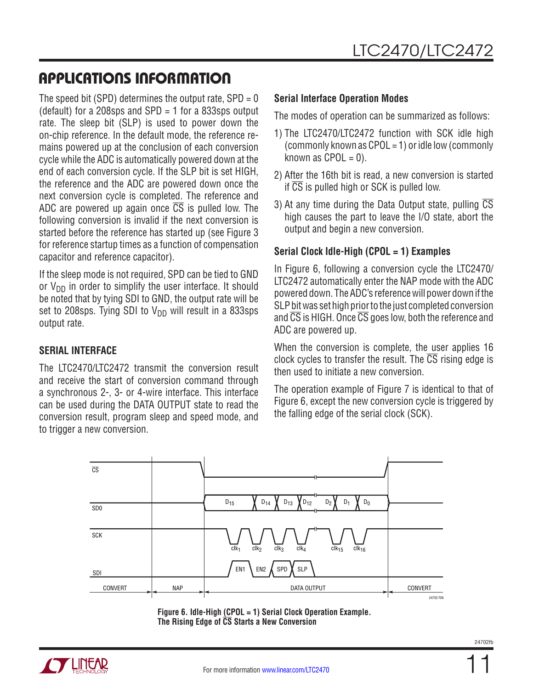The speed bit (SPD) determines the output rate,  $SPD = 0$ (default) for a 208sps and  $SPD = 1$  for a 833sps output rate. The sleep bit (SLP) is used to power down the on-chip reference. In the default mode, the reference remains powered up at the conclusion of each conversion cycle while the ADC is automatically powered down at the end of each conversion cycle. If the SLP bit is set HIGH, the reference and the ADC are powered down once the next conversion cycle is completed. The reference and ADC are powered up again once  $\overline{CS}$  is pulled low. The following conversion is invalid if the next conversion is started before the reference has started up (see Figure 3 for reference startup times as a function of compensation capacitor and reference capacitor).

If the sleep mode is not required, SPD can be tied to GND or  $V_{DD}$  in order to simplify the user interface. It should be noted that by tying SDI to GND, the output rate will be set to 208sps. Tying SDI to  $V_{DD}$  will result in a 833sps output rate.

### **Serial Interface**

The LTC2470/LTC2472 transmit the conversion result and receive the start of conversion command through a synchronous 2-, 3- or 4-wire interface. This interface can be used during the DATA OUTPUT state to read the conversion result, program sleep and speed mode, and to trigger a new conversion.

### **Serial Interface Operation Modes**

The modes of operation can be summarized as follows:

- 1) The LTC2470/LTC2472 function with SCK idle high (commonly known as CPOL = 1) or idle low (commonly known as  $CPOL = 0$ ).
- 2) After the 16th bit is read, a new conversion is started if CS is pulled high or SCK is pulled low.
- 3) At any time during the Data Output state, pulling  $\overline{CS}$ high causes the part to leave the I/O state, abort the output and begin a new conversion.

### **Serial Clock Idle-High (CPOL = 1) Examples**

In Figure 6, following a conversion cycle the LTC2470/ LTC2472 automatically enter the NAP mode with the ADC powered down. The ADC's reference will power down if the SLP bit was set high prior to the just completed conversion and  $\overline{CS}$  is HIGH. Once  $\overline{CS}$  goes low, both the reference and ADC are powered up.

When the conversion is complete, the user applies 16 clock cycles to transfer the result. The  $\overline{CS}$  rising edge is then used to initiate a new conversion.

The operation example of Figure 7 is identical to that of Figure 6, except the new conversion cycle is triggered by the falling edge of the serial clock (SCK).



**Figure 6. Idle-High (CPOL = 1) Serial Clock Operation Example. The Rising Edge of CS Starts a New Conversion**

11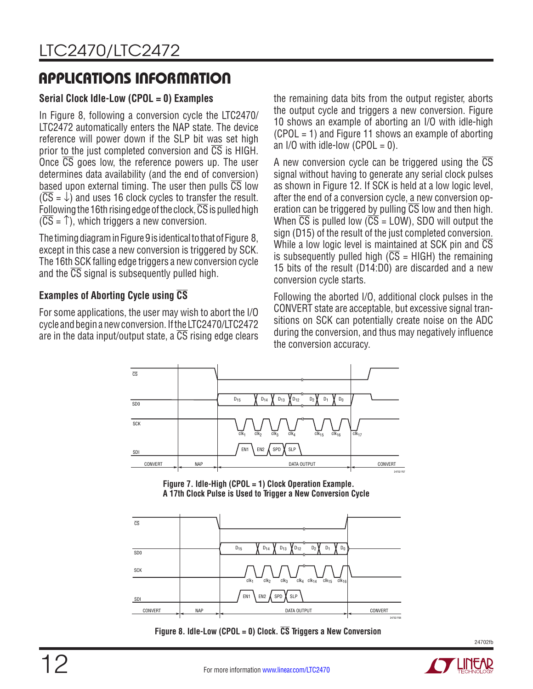### **Serial Clock Idle-Low (CPOL = 0) Examples**

In Figure 8, following a conversion cycle the LTC2470/ LTC2472 automatically enters the NAP state. The device reference will power down if the SLP bit was set high prior to the just completed conversion and  $\overline{CS}$  is HIGH. Once  $\overline{CS}$  goes low, the reference powers up. The user determines data availability (and the end of conversion) based upon external timing. The user then pulls  $\overline{\text{CS}}$  low  $(\overline{CS} = \downarrow)$  and uses 16 clock cycles to transfer the result. Following the 16th rising edge of the clock,  $\overline{\text{CS}}$  is pulled high  $(\overline{CS} = \hat{T})$ , which triggers a new conversion.

The timing diagram in Figure 9 is identical to that of Figure 8, except in this case a new conversion is triggered by SCK. The 16th SCK falling edge triggers a new conversion cycle and the  $\overline{CS}$  signal is subsequently pulled high.

### **Examples of Aborting Cycle using CS**

For some applications, the user may wish to abort the I/O cycle and begin a new conversion. If the LTC2470/LTC2472 are in the data input/output state, a  $\overline{CS}$  rising edge clears the remaining data bits from the output register, aborts the output cycle and triggers a new conversion. Figure 10 shows an example of aborting an I/O with idle-high (CPOL = 1) and Figure 11 shows an example of aborting an I/O with idle-low (CPOL  $= 0$ ).

A new conversion cycle can be triggered using the CS signal without having to generate any serial clock pulses as shown in Figure 12. If SCK is held at a low logic level, after the end of a conversion cycle, a new conversion operation can be triggered by pulling  $\overline{CS}$  low and then high. When  $\overline{CS}$  is pulled low ( $\overline{CS}$  = LOW), SDO will output the sign (D15) of the result of the just completed conversion. While a low logic level is maintained at SCK pin and  $\overline{\text{CS}}$ is subsequently pulled high  $(\overline{CS} = H \cdot G)$  the remaining 15 bits of the result (D14:D0) are discarded and a new conversion cycle starts.

Following the aborted I/O, additional clock pulses in the CONVERT state are acceptable, but excessive signal transitions on SCK can potentially create noise on the ADC during the conversion, and thus may negatively influence the conversion accuracy.

![](_page_11_Figure_10.jpeg)

**Figure 7. Idle-High (CPOL = 1) Clock Operation Example. A 17th Clock Pulse is Used to Trigger a New Conversion Cycle**

![](_page_11_Figure_12.jpeg)

**Figure 8. Idle-Low (CPOL = 0) Clock. CS Triggers a New Conversion**

![](_page_11_Picture_14.jpeg)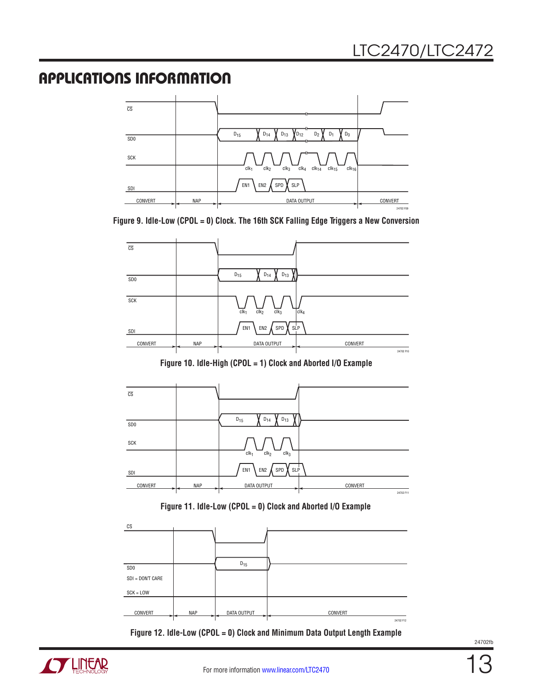![](_page_12_Figure_2.jpeg)

**Figure 9. Idle-Low (CPOL = 0) Clock. The 16th SCK Falling Edge Triggers a New Conversion**

![](_page_12_Figure_4.jpeg)

**Figure 10. Idle-High (CPOL = 1) Clock and Aborted I/O Example**

![](_page_12_Figure_6.jpeg)

**Figure 11. Idle-Low (CPOL = 0) Clock and Aborted I/O Example**

![](_page_12_Figure_8.jpeg)

**Figure 12. Idle-Low (CPOL = 0) Clock and Minimum Data Output Length Example**

![](_page_12_Picture_10.jpeg)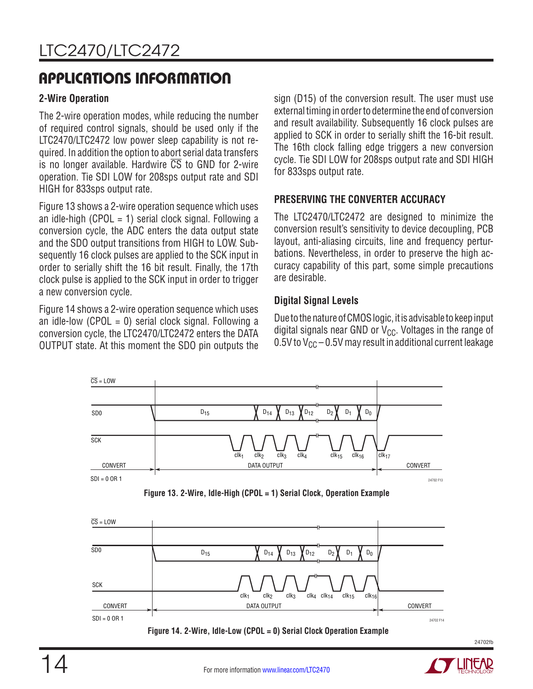### **2-Wire Operation**

The 2-wire operation modes, while reducing the number of required control signals, should be used only if the LTC2470/LTC2472 low power sleep capability is not required. In addition the option to abort serial data transfers is no longer available. Hardwire  $\overline{CS}$  to GND for 2-wire operation. Tie SDI LOW for 208sps output rate and SDI HIGH for 833sps output rate.

Figure 13 shows a 2-wire operation sequence which uses an idle-high (CPOL = 1) serial clock signal. Following a conversion cycle, the ADC enters the data output state and the SDO output transitions from HIGH to LOW. Subsequently 16 clock pulses are applied to the SCK input in order to serially shift the 16 bit result. Finally, the 17th clock pulse is applied to the SCK input in order to trigger a new conversion cycle.

Figure 14 shows a 2-wire operation sequence which uses an idle-low (CPOL = 0) serial clock signal. Following a conversion cycle, the LTC2470/LTC2472 enters the DATA OUTPUT state. At this moment the SDO pin outputs the sign (D15) of the conversion result. The user must use external timing in order to determine the end of conversion and result availability. Subsequently 16 clock pulses are applied to SCK in order to serially shift the 16-bit result. The 16th clock falling edge triggers a new conversion cycle. Tie SDI LOW for 208sps output rate and SDI HIGH for 833sps output rate.

### **PRESERVING THE CONVERTER ACCURACY**

The LTC2470/LTC2472 are designed to minimize the conversion result's sensitivity to device decoupling, PCB layout, anti-aliasing circuits, line and frequency perturbations. Nevertheless, in order to preserve the high accuracy capability of this part, some simple precautions are desirable.

### **Digital Signal Levels**

Due to the nature of CMOS logic, it is advisable to keep input digital signals near GND or  $V_{CC}$ . Voltages in the range of 0.5V to  $V_{CC}$  – 0.5V may result in additional current leakage

![](_page_13_Figure_11.jpeg)

**Figure 14. 2-Wire, Idle-Low (CPOL = 0) Serial Clock Operation Example**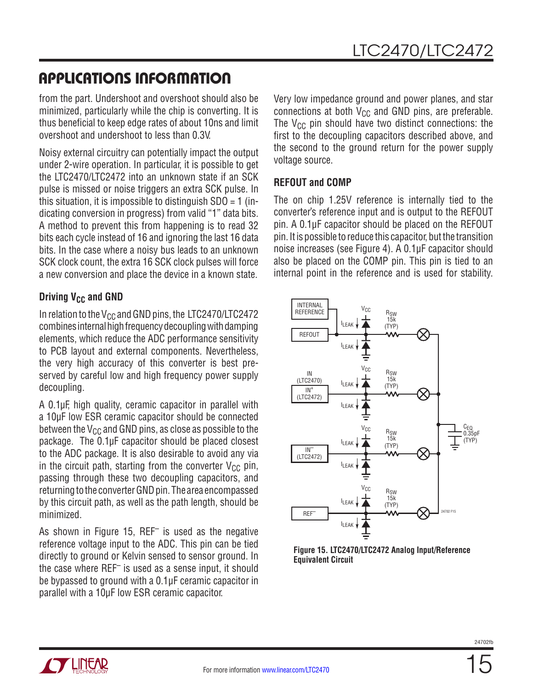from the part. Undershoot and overshoot should also be minimized, particularly while the chip is converting. It is thus beneficial to keep edge rates of about 10ns and limit overshoot and undershoot to less than 0.3V.

Noisy external circuitry can potentially impact the output under 2-wire operation. In particular, it is possible to get the LTC2470/LTC2472 into an unknown state if an SCK pulse is missed or noise triggers an extra SCK pulse. In this situation, it is impossible to distinguish  $SDO = 1$  (indicating conversion in progress) from valid "1" data bits. A method to prevent this from happening is to read 32 bits each cycle instead of 16 and ignoring the last 16 data bits. In the case where a noisy bus leads to an unknown SCK clock count, the extra 16 SCK clock pulses will force a new conversion and place the device in a known state.

### **Driving V<sub>CC</sub> and GND**

In relation to the  $V_{CC}$  and GND pins, the LTC2470/LTC2472 combines internal high frequency decoupling with damping elements, which reduce the ADC performance sensitivity to PCB layout and external components. Nevertheless, the very high accuracy of this converter is best preserved by careful low and high frequency power supply decoupling.

A 0.1µF, high quality, ceramic capacitor in parallel with a 10µF low ESR ceramic capacitor should be connected between the  $V_{CC}$  and GND pins, as close as possible to the package. The 0.1µF capacitor should be placed closest to the ADC package. It is also desirable to avoid any via in the circuit path, starting from the converter  $V_{CC}$  pin, passing through these two decoupling capacitors, and returning to the converter GND pin. The area encompassed by this circuit path, as well as the path length, should be minimized.

As shown in Figure 15, REF– is used as the negative reference voltage input to the ADC. This pin can be tied directly to ground or Kelvin sensed to sensor ground. In the case where REF– is used as a sense input, it should be bypassed to ground with a 0.1μF ceramic capacitor in parallel with a 10μF low ESR ceramic capacitor.

Very low impedance ground and power planes, and star connections at both  $V_{CC}$  and GND pins, are preferable. The  $V_{CC}$  pin should have two distinct connections: the first to the decoupling capacitors described above, and the second to the ground return for the power supply voltage source.

### **REFOUT and COMP**

The on chip 1.25V reference is internally tied to the converter's reference input and is output to the REFOUT pin. A 0.1μF capacitor should be placed on the REFOUT pin. It is possible to reduce this capacitor, but the transition noise increases (see Figure 4). A 0.1μF capacitor should also be placed on the COMP pin. This pin is tied to an internal point in the reference and is used for stability.

![](_page_14_Figure_11.jpeg)

**Figure 15. LTC2470/LTC2472 Analog Input/Reference Equivalent Circuit**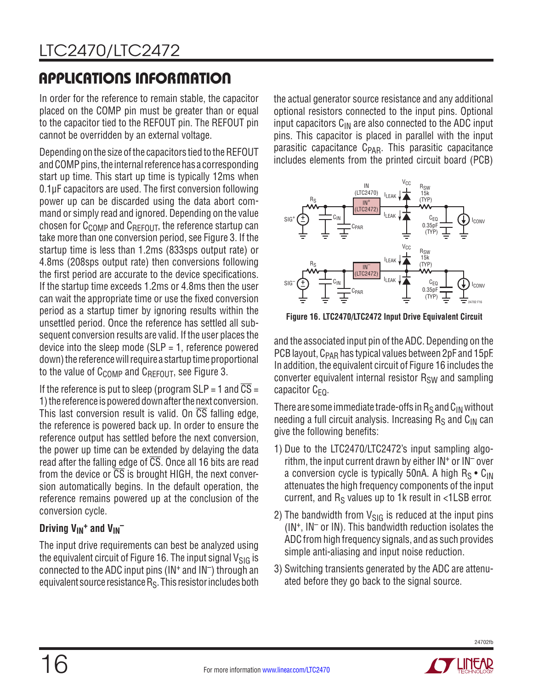In order for the reference to remain stable, the capacitor placed on the COMP pin must be greater than or equal to the capacitor tied to the REFOUT pin. The REFOUT pin cannot be overridden by an external voltage.

Depending on the size of the capacitors tied to the REFOUT and COMP pins, the internal reference has a corresponding start up time. This start up time is typically 12ms when 0.1μF capacitors are used. The first conversion following power up can be discarded using the data abort command or simply read and ignored. Depending on the value chosen for  $C_{COMP}$  and  $C_{REFOUT}$ , the reference startup can take more than one conversion period, see Figure 3. If the startup time is less than 1.2ms (833sps output rate) or 4.8ms (208sps output rate) then conversions following the first period are accurate to the device specifications. If the startup time exceeds 1.2ms or 4.8ms then the user can wait the appropriate time or use the fixed conversion period as a startup timer by ignoring results within the unsettled period. Once the reference has settled all subsequent conversion results are valid. If the user places the device into the sleep mode  $(SLP = 1,$  reference powered down) the reference will require a startup time proportional to the value of  $C_{COMP}$  and  $C_{REFOUT}$ , see Figure 3.

If the reference is put to sleep (program  $SLP = 1$  and  $\overline{CS} =$ 1) the reference is powered down after the next conversion. This last conversion result is valid. On  $\overline{CS}$  falling edge, the reference is powered back up. In order to ensure the reference output has settled before the next conversion, the power up time can be extended by delaying the data read after the falling edge of  $\overline{CS}$ . Once all 16 bits are read from the device or  $\overline{\text{CS}}$  is brought HIGH, the next conversion automatically begins. In the default operation, the reference remains powered up at the conclusion of the conversion cycle.

## Driving V<sub>IN</sub><sup>+</sup> and V<sub>IN</sub><sup>-</sup>

The input drive requirements can best be analyzed using the equivalent circuit of Figure 16. The input signal  $V_{\text{SIG}}$  is connected to the ADC input pins ( $IN<sup>+</sup>$  and  $IN<sup>-</sup>$ ) through an equivalent source resistance R<sub>S</sub>. This resistor includes both the actual generator source resistance and any additional optional resistors connected to the input pins. Optional input capacitors  $C_{IN}$  are also connected to the ADC input pins. This capacitor is placed in parallel with the input parasitic capacitance  $C_{PAR}$ . This parasitic capacitance includes elements from the printed circuit board (PCB)

![](_page_15_Figure_8.jpeg)

**Figure 16. LTC2470/LTC2472 Input Drive Equivalent Circuit**

and the associated input pin of the ADC. Depending on the PCB layout, C<sub>PAR</sub> has typical values between 2pF and 15pF. In addition, the equivalent circuit of Figure 16 includes the converter equivalent internal resistor  $R_{SW}$  and sampling capacitor  $C_{FQ}$ .

There are some immediate trade-offs in  $R_S$  and  $C_{IN}$  without needing a full circuit analysis. Increasing  $R_S$  and  $C_{IN}$  can give the following benefits:

- 1) Due to the LTC2470/LTC2472's input sampling algorithm, the input current drawn by either  $IN<sup>+</sup>$  or  $IN<sup>-</sup>$  over a conversion cycle is typically 50nA. A high  $R_S \cdot C_{IN}$ attenuates the high frequency components of the input current, and  $R<sub>S</sub>$  values up to 1k result in  $<1LSB$  error.
- 2) The bandwidth from  $V_{\text{SIG}}$  is reduced at the input pins  $(IN<sup>+</sup>, IN<sup>-</sup> or IN).$  This bandwidth reduction isolates the ADC from high frequency signals, and as such provides simple anti-aliasing and input noise reduction.
- 3) Switching transients generated by the ADC are attenuated before they go back to the signal source.

![](_page_15_Picture_15.jpeg)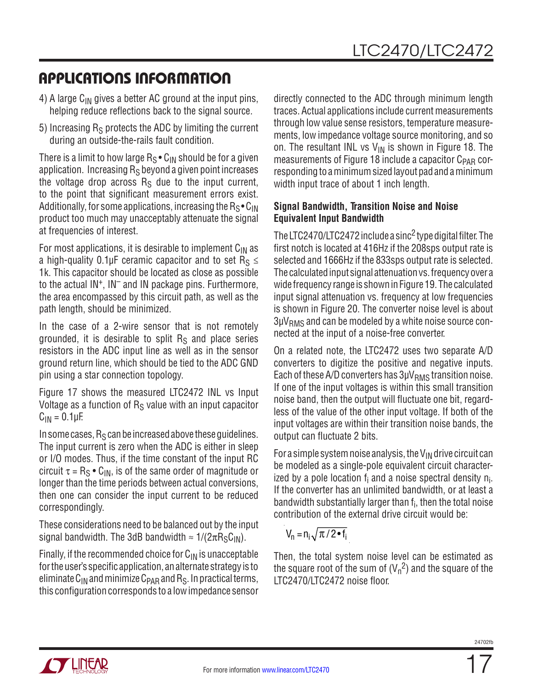- 4) A large  $C_{IN}$  gives a better AC ground at the input pins, helping reduce reflections back to the signal source.
- 5) Increasing  $R<sub>S</sub>$  protects the ADC by limiting the current during an outside-the-rails fault condition.

There is a limit to how large  $R_S \cdot C_{IN}$  should be for a given application. Increasing  $R<sub>S</sub>$  beyond a given point increases the voltage drop across  $R<sub>S</sub>$  due to the input current, to the point that significant measurement errors exist. Additionally, for some applications, increasing the  $R_S \cdot C_{IN}$ product too much may unacceptably attenuate the signal at frequencies of interest.

For most applications, it is desirable to implement  $C_{IN}$  as a high-quality 0.1µF ceramic capacitor and to set R<sub>S</sub>  $\leq$ 1k. This capacitor should be located as close as possible to the actual IN+, IN– and IN package pins. Furthermore, the area encompassed by this circuit path, as well as the path length, should be minimized.

In the case of a 2-wire sensor that is not remotely grounded, it is desirable to split  $R<sub>S</sub>$  and place series resistors in the ADC input line as well as in the sensor ground return line, which should be tied to the ADC GND pin using a star connection topology.

Figure 17 shows the measured LTC2472 INL vs Input Voltage as a function of  $R<sub>S</sub>$  value with an input capacitor  $C_{IN} = 0.1 \mu F$ .

In some cases,  $R_S$  can be increased above these guidelines. The input current is zero when the ADC is either in sleep or I/O modes. Thus, if the time constant of the input RC circuit  $\tau = R_S \cdot C_{IN}$ , is of the same order of magnitude or longer than the time periods between actual conversions, then one can consider the input current to be reduced correspondingly.

These considerations need to be balanced out by the input signal bandwidth. The 3dB bandwidth  $\approx 1/(2\pi R_S C_{IN})$ .

Finally, if the recommended choice for  $C_{1N}$  is unacceptable for the user's specific application, an alternate strategy is to eliminate  $C_{IN}$  and minimize  $C_{PAR}$  and  $R_S$ . In practical terms, this configuration corresponds to a low impedance sensor

directly connected to the ADC through minimum length traces. Actual applications include current measurements through low value sense resistors, temperature measurements, low impedance voltage source monitoring, and so on. The resultant INL vs  $V_{IN}$  is shown in Figure 18. The measurements of Figure 18 include a capacitor C<sub>PAR</sub> corresponding to a minimum sized layout pad and a minimum width input trace of about 1 inch length.

### **Signal Bandwidth, Transition Noise and Noise Equivalent Input Bandwidth**

The LTC2470/LTC2472 include a sinc<sup>2</sup> type digital filter. The first notch is located at 416Hz if the 208sps output rate is selected and 1666Hz if the 833sps output rate is selected. The calculated input signal attenuation vs. frequency over a wide frequency range is shown in Figure 19. The calculated input signal attenuation vs. frequency at low frequencies is shown in Figure 20. The converter noise level is about  $3\mu V_{RMS}$  and can be modeled by a white noise source connected at the input of a noise-free converter.

On a related note, the LTC2472 uses two separate A/D converters to digitize the positive and negative inputs. Each of these A/D converters has  $3\mu V_{RMS}$  transition noise. If one of the input voltages is within this small transition noise band, then the output will fluctuate one bit, regardless of the value of the other input voltage. If both of the input voltages are within their transition noise bands, the output can fluctuate 2 bits.

For a simple system noise analysis, the  $V_{IN}$  drive circuit can be modeled as a single-pole equivalent circuit characterized by a pole location  $f_i$  and a noise spectral density  $n_i$ . If the converter has an unlimited bandwidth, or at least a bandwidth substantially larger than  $f_i$ , then the total noise contribution of the external drive circuit would be:

$$
V_n = n_i \sqrt{\pi/2 \cdot f_i}
$$

Then, the total system noise level can be estimated as the square root of the sum of  $({\sf V_n}^2)$  and the square of the LTC2470/LTC2472 noise floor.

![](_page_16_Picture_18.jpeg)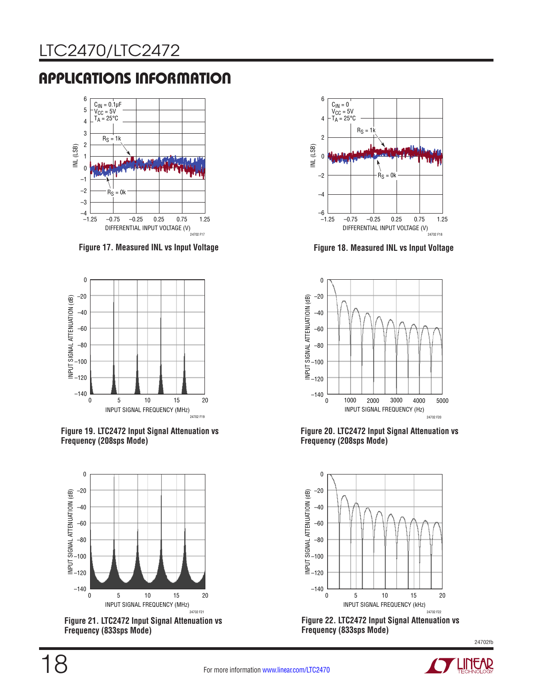# LTC2470/LTC2472

# applications information

![](_page_17_Figure_2.jpeg)

**Figure 17. Measured INL vs Input Voltage Figure 18. Measured INL vs Input Voltage**

![](_page_17_Figure_4.jpeg)

**Figure 19. LTC2472 Input Signal Attenuation vs Frequency (208sps Mode)**

![](_page_17_Figure_6.jpeg)

![](_page_17_Figure_7.jpeg)

![](_page_17_Figure_8.jpeg)

![](_page_17_Figure_10.jpeg)

**Figure 20. LTC2472 Input Signal Attenuation vs Frequency (208sps Mode)**

![](_page_17_Figure_12.jpeg)

**Figure 22. LTC2472 Input Signal Attenuation vs Frequency (833sps Mode)**

![](_page_17_Picture_17.jpeg)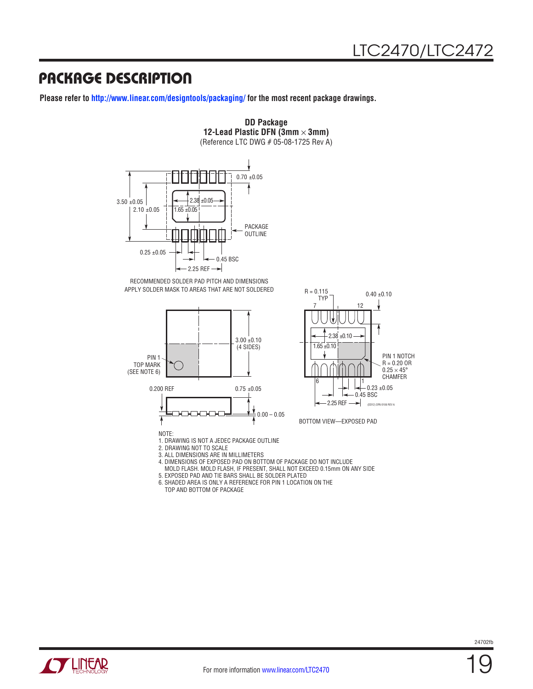$0.40 \pm 0.10$ 

(DD12) DFN 0106 REV A

 $-0.23 \pm 0.05$ 

PIN 1 NOTCH  $R = 0.20$  OR  $0.25 \times 45^{\circ}$ CHAMFER

12

## Package Description

**Please refer to <http://www.linear.com/designtools/packaging>/ for the most recent package drawings.**

![](_page_18_Figure_3.jpeg)

![](_page_18_Figure_4.jpeg)

3. ALL DIMENSIONS ARE IN MILLIMETERS

4. DIMENSIONS OF EXPOSED PAD ON BOTTOM OF PACKAGE DO NOT INCLUDE

MOLD FLASH. MOLD FLASH, IF PRESENT, SHALL NOT EXCEED 0.15mm ON ANY SIDE

5. EXPOSED PAD AND TIE BARS SHALL BE SOLDER PLATED

6. SHADED AREA IS ONLY A REFERENCE FOR PIN 1 LOCATION ON THE TOP AND BOTTOM OF PACKAGE

![](_page_18_Picture_10.jpeg)

![](_page_18_Picture_12.jpeg)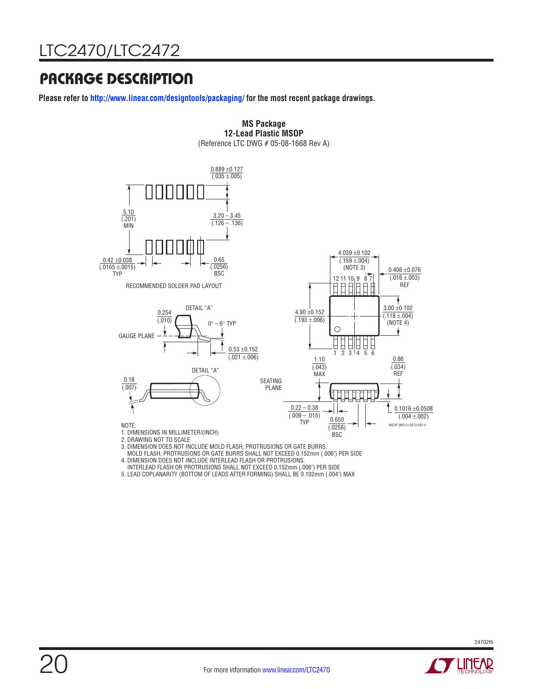## Package Description

**Please refer to <http://www.linear.com/designtools/packaging>/ for the most recent package drawings.**

![](_page_19_Figure_3.jpeg)

**MS Package**

3. DIMENSION DOES NOT INCLUDE MOLD FLASH, PROTRUSIONS OR GATE BURRS.

MOLD FLASH, PROTRUSIONS OR GATE BURRS SHALL NOT EXCEED 0.152mm (.006") PER SIDE

4. DIMENSION DOES NOT INCLUDE INTERLEAD FLASH OR PROTRUSIONS.

INTERLEAD FLASH OR PROTRUSIONS SHALL NOT EXCEED 0.152mm (.006") PER SIDE

5. LEAD COPLANARITY (BOTTOM OF LEADS AFTER FORMING) SHALL BE 0.102mm (.004") MAX

![](_page_19_Picture_9.jpeg)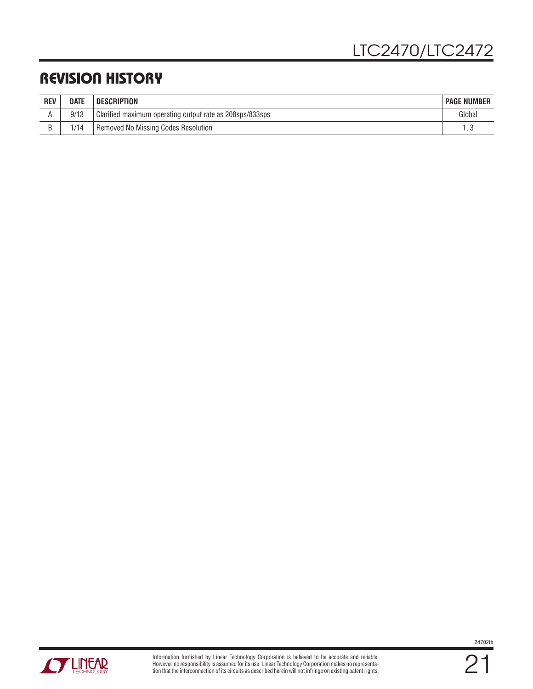## Revision History

| <b>REV</b> | DATE | <b>DESCRIPTION</b>                                       | <b>PAGE NUMBER</b> |
|------------|------|----------------------------------------------------------|--------------------|
|            | 9/13 | Clarified maximum operating output rate as 208sps/833sps | Global             |
|            | /14  | Removed No Missing Codes Resolution                      |                    |

![](_page_20_Picture_3.jpeg)